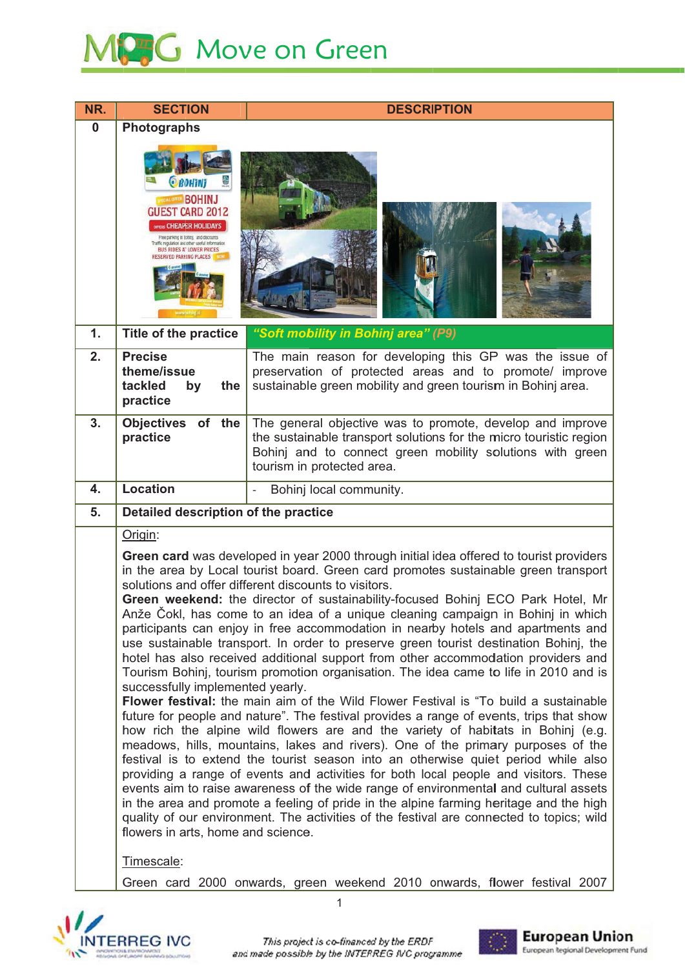# MPG Move on Green

| NR.      | <b>SECTION</b>                                                                                                                                                                                                                                                                                                                                                                                                                                                                                                                                                                                                                                                                                                                                                                                                                                                                                                                                                                                                                                                                                                                                                                                                                                                                                                                                                                                                                                                                                                                                                                                                                                                                        | <b>DESCRIPTION</b>                                                                                                                                                                                                         |  |
|----------|---------------------------------------------------------------------------------------------------------------------------------------------------------------------------------------------------------------------------------------------------------------------------------------------------------------------------------------------------------------------------------------------------------------------------------------------------------------------------------------------------------------------------------------------------------------------------------------------------------------------------------------------------------------------------------------------------------------------------------------------------------------------------------------------------------------------------------------------------------------------------------------------------------------------------------------------------------------------------------------------------------------------------------------------------------------------------------------------------------------------------------------------------------------------------------------------------------------------------------------------------------------------------------------------------------------------------------------------------------------------------------------------------------------------------------------------------------------------------------------------------------------------------------------------------------------------------------------------------------------------------------------------------------------------------------------|----------------------------------------------------------------------------------------------------------------------------------------------------------------------------------------------------------------------------|--|
| $\bf{0}$ | <b>Photographs</b>                                                                                                                                                                                                                                                                                                                                                                                                                                                                                                                                                                                                                                                                                                                                                                                                                                                                                                                                                                                                                                                                                                                                                                                                                                                                                                                                                                                                                                                                                                                                                                                                                                                                    |                                                                                                                                                                                                                            |  |
|          | <b>O</b> BOHINJ<br><b>BOHINJ</b><br><b>GUEST CARD 2012</b><br><b><i>HERS</i></b> CHEAPER HOLIDAYS<br>Free parking in Exhinj, and discounts<br>gulation andother useful information<br>RIDES AT LOWER PRICES                                                                                                                                                                                                                                                                                                                                                                                                                                                                                                                                                                                                                                                                                                                                                                                                                                                                                                                                                                                                                                                                                                                                                                                                                                                                                                                                                                                                                                                                           |                                                                                                                                                                                                                            |  |
| 1.       | <b>Title of the practice</b>                                                                                                                                                                                                                                                                                                                                                                                                                                                                                                                                                                                                                                                                                                                                                                                                                                                                                                                                                                                                                                                                                                                                                                                                                                                                                                                                                                                                                                                                                                                                                                                                                                                          | "Soft mobility in Bohinj area" (P9)                                                                                                                                                                                        |  |
| 2.       | <b>Precise</b><br>theme/issue<br>tackled<br>the<br>by<br>practice                                                                                                                                                                                                                                                                                                                                                                                                                                                                                                                                                                                                                                                                                                                                                                                                                                                                                                                                                                                                                                                                                                                                                                                                                                                                                                                                                                                                                                                                                                                                                                                                                     | The main reason for developing this GP was the issue of<br>preservation of protected areas and to promote/ improve<br>sustainable green mobility and green tourism in Bohinj area.                                         |  |
| 3.       | Objectives of the<br>practice                                                                                                                                                                                                                                                                                                                                                                                                                                                                                                                                                                                                                                                                                                                                                                                                                                                                                                                                                                                                                                                                                                                                                                                                                                                                                                                                                                                                                                                                                                                                                                                                                                                         | The general objective was to promote, develop and improve<br>the sustainable transport solutions for the micro touristic region<br>Bohinj and to connect green mobility solutions with green<br>tourism in protected area. |  |
| 4.       | <b>Location</b>                                                                                                                                                                                                                                                                                                                                                                                                                                                                                                                                                                                                                                                                                                                                                                                                                                                                                                                                                                                                                                                                                                                                                                                                                                                                                                                                                                                                                                                                                                                                                                                                                                                                       | Bohinj local community.                                                                                                                                                                                                    |  |
| 5.       | Detailed description of the practice                                                                                                                                                                                                                                                                                                                                                                                                                                                                                                                                                                                                                                                                                                                                                                                                                                                                                                                                                                                                                                                                                                                                                                                                                                                                                                                                                                                                                                                                                                                                                                                                                                                  |                                                                                                                                                                                                                            |  |
|          | Origin:                                                                                                                                                                                                                                                                                                                                                                                                                                                                                                                                                                                                                                                                                                                                                                                                                                                                                                                                                                                                                                                                                                                                                                                                                                                                                                                                                                                                                                                                                                                                                                                                                                                                               |                                                                                                                                                                                                                            |  |
|          | Green card was developed in year 2000 through initial idea offered to tourist providers<br>in the area by Local tourist board. Green card promotes sustainable green transport<br>solutions and offer different discounts to visitors.<br>Green weekend: the director of sustainability-focused Bohinj ECO Park Hotel, Mr<br>Anže Čokl, has come to an idea of a unique cleaning campaign in Bohinj in which<br>participants can enjoy in free accommodation in nearby hotels and apartments and<br>use sustainable transport. In order to preserve green tourist destination Bohinj, the<br>hotel has also received additional support from other accommodation providers and<br>Tourism Bohinj, tourism promotion organisation. The idea came to life in 2010 and is<br>successfully implemented yearly.<br>Flower festival: the main aim of the Wild Flower Festival is "To build a sustainable<br>future for people and nature". The festival provides a range of events, trips that show<br>how rich the alpine wild flowers are and the variety of habitats in Bohinj (e.g.<br>meadows, hills, mountains, lakes and rivers). One of the primary purposes of the<br>festival is to extend the tourist season into an otherwise quiet period while also<br>providing a range of events and activities for both local people and visitors. These<br>events aim to raise awareness of the wide range of environmental and cultural assets<br>in the area and promote a feeling of pride in the alpine farming heritage and the high<br>quality of our environment. The activities of the festival are connected to topics; wild<br>flowers in arts, home and science.<br>Timescale: |                                                                                                                                                                                                                            |  |
|          |                                                                                                                                                                                                                                                                                                                                                                                                                                                                                                                                                                                                                                                                                                                                                                                                                                                                                                                                                                                                                                                                                                                                                                                                                                                                                                                                                                                                                                                                                                                                                                                                                                                                                       | Green card 2000 onwards, green weekend 2010 onwards, flower festival 2007                                                                                                                                                  |  |
|          |                                                                                                                                                                                                                                                                                                                                                                                                                                                                                                                                                                                                                                                                                                                                                                                                                                                                                                                                                                                                                                                                                                                                                                                                                                                                                                                                                                                                                                                                                                                                                                                                                                                                                       |                                                                                                                                                                                                                            |  |





 $\mathbf{1}$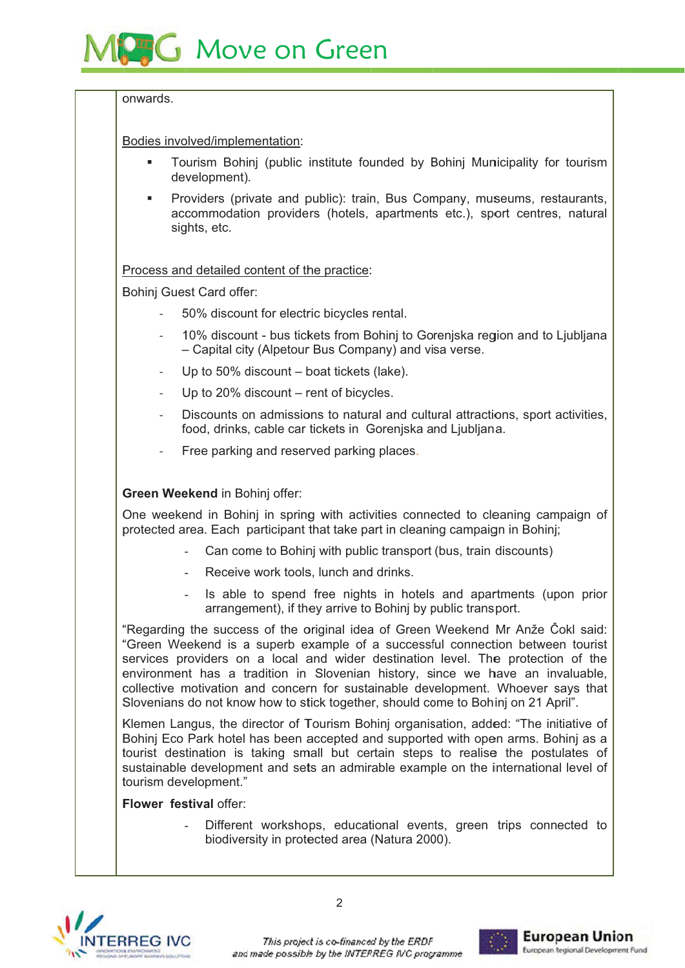

#### onwards

Bodies involved/implementation:

- Tourism Bohinj (public institute founded by Bohinj Municipality for tourism development).
- Providers (private and public): train, Bus Company, museums, restaurants, accommodation providers (hotels, apartments etc.), sport centres, natural sights, etc.

Process and detailed content of the practice:

Bohinj Guest Card offer:

- 50% discount for electric bicycles rental.
- 10% discount bus tickets from Bohini to Goreniska region and to Ljubljana - Capital city (Alpetour Bus Company) and visa verse.
- Up to 50% discount boat tickets (lake).
- Up to 20% discount rent of bicycles.
- Discounts on admissions to natural and cultural attractions, sport activities, food, drinks, cable car tickets in Goreniska and Ljubliana.
- Free parking and reserved parking places.

## Green Weekend in Bohinj offer:

One weekend in Bohinj in spring with activities connected to cleaning campaign of protected area. Each participant that take part in cleaning campaign in Bohinj;

- Can come to Bohinj with public transport (bus, train discounts)
- Receive work tools, lunch and drinks.
- Is able to spend free nights in hotels and apartments (upon prior arrangement), if they arrive to Bohinj by public transport.

"Regarding the success of the original idea of Green Weekend Mr Anže Čokl said: "Green Weekend is a superb example of a successful connection between tourist services providers on a local and wider destination level. The protection of the environment has a tradition in Slovenian history, since we have an invaluable. collective motivation and concern for sustainable development. Whoever says that Slovenians do not know how to stick together, should come to Bohini on 21 April".

Klemen Langus, the director of Tourism Bohinj organisation, added: "The initiative of Bohinj Eco Park hotel has been accepted and supported with open arms. Bohinj as a tourist destination is taking small but certain steps to realise the postulates of sustainable development and sets an admirable example on the international level of tourism development."

### Flower festival offer:

Different workshops, educational events, green trips connected to biodiversity in protected area (Natura 2000).



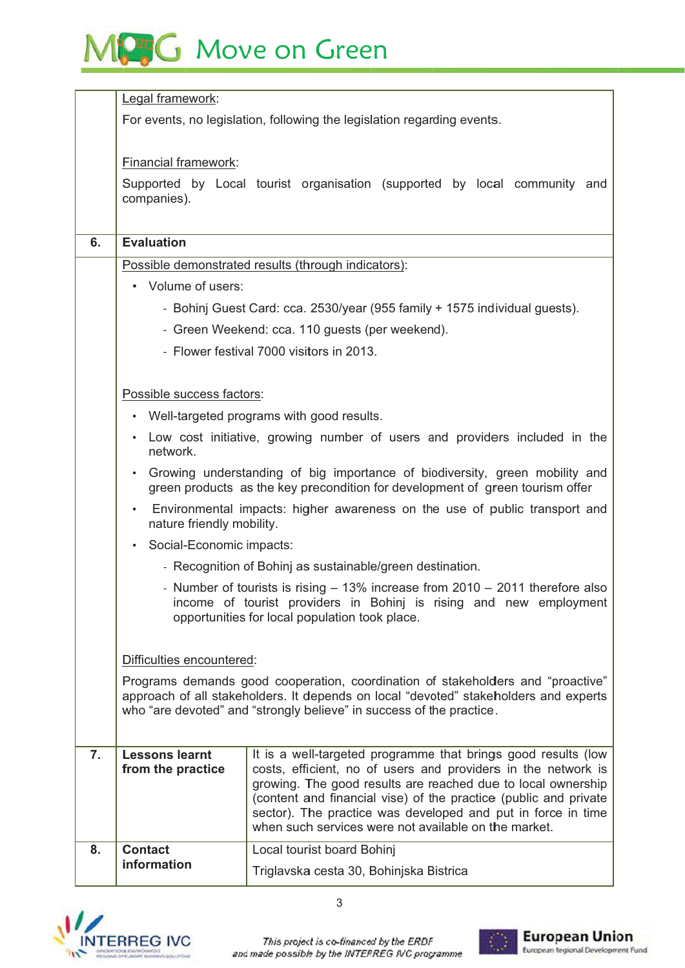# MCG Move on Green

|                | Legal framework:                                                                                                                                                                                                                                                             |                                                                                                                                  |  |  |
|----------------|------------------------------------------------------------------------------------------------------------------------------------------------------------------------------------------------------------------------------------------------------------------------------|----------------------------------------------------------------------------------------------------------------------------------|--|--|
|                | For events, no legislation, following the legislation regarding events.                                                                                                                                                                                                      |                                                                                                                                  |  |  |
|                |                                                                                                                                                                                                                                                                              |                                                                                                                                  |  |  |
|                | <b>Financial framework:</b>                                                                                                                                                                                                                                                  |                                                                                                                                  |  |  |
|                | Supported by Local tourist organisation (supported by local community and                                                                                                                                                                                                    |                                                                                                                                  |  |  |
|                | companies).                                                                                                                                                                                                                                                                  |                                                                                                                                  |  |  |
| 6.             | <b>Evaluation</b>                                                                                                                                                                                                                                                            |                                                                                                                                  |  |  |
|                |                                                                                                                                                                                                                                                                              |                                                                                                                                  |  |  |
|                | Possible demonstrated results (through indicators):<br>• Volume of users:<br>- Bohinj Guest Card: cca. 2530/year (955 family + 1575 individual guests).<br>- Green Weekend: cca. 110 guests (per weekend).                                                                   |                                                                                                                                  |  |  |
|                |                                                                                                                                                                                                                                                                              |                                                                                                                                  |  |  |
|                |                                                                                                                                                                                                                                                                              |                                                                                                                                  |  |  |
|                |                                                                                                                                                                                                                                                                              |                                                                                                                                  |  |  |
|                | - Flower festival 7000 visitors in 2013.                                                                                                                                                                                                                                     |                                                                                                                                  |  |  |
|                | Possible success factors:                                                                                                                                                                                                                                                    |                                                                                                                                  |  |  |
|                | Well-targeted programs with good results.<br>$\bullet$<br>Low cost initiative, growing number of users and providers included in the<br>network.                                                                                                                             |                                                                                                                                  |  |  |
|                |                                                                                                                                                                                                                                                                              |                                                                                                                                  |  |  |
|                |                                                                                                                                                                                                                                                                              |                                                                                                                                  |  |  |
|                | Growing understanding of big importance of biodiversity, green mobility and                                                                                                                                                                                                  |                                                                                                                                  |  |  |
|                | green products as the key precondition for development of green tourism offer                                                                                                                                                                                                |                                                                                                                                  |  |  |
|                | Environmental impacts: higher awareness on the use of public transport and<br>nature friendly mobility.                                                                                                                                                                      |                                                                                                                                  |  |  |
|                | Social-Economic impacts:<br>$\bullet$                                                                                                                                                                                                                                        |                                                                                                                                  |  |  |
|                | - Recognition of Bohinj as sustainable/green destination.<br>- Number of tourists is rising - 13% increase from 2010 - 2011 therefore also                                                                                                                                   |                                                                                                                                  |  |  |
|                |                                                                                                                                                                                                                                                                              |                                                                                                                                  |  |  |
|                | income of tourist providers in Bohinj is rising and new employment                                                                                                                                                                                                           |                                                                                                                                  |  |  |
|                | opportunities for local population took place.                                                                                                                                                                                                                               |                                                                                                                                  |  |  |
|                | Difficulties encountered:<br>Programs demands good cooperation, coordination of stakeholders and "proactive"<br>approach of all stakeholders. It depends on local "devoted" stakeholders and experts<br>who "are devoted" and "strongly believe" in success of the practice. |                                                                                                                                  |  |  |
|                |                                                                                                                                                                                                                                                                              |                                                                                                                                  |  |  |
|                |                                                                                                                                                                                                                                                                              |                                                                                                                                  |  |  |
|                |                                                                                                                                                                                                                                                                              |                                                                                                                                  |  |  |
|                |                                                                                                                                                                                                                                                                              |                                                                                                                                  |  |  |
| 7 <sub>1</sub> | <b>Lessons learnt</b><br>from the practice                                                                                                                                                                                                                                   | It is a well-targeted programme that brings good results (low<br>costs, efficient, no of users and providers in the network is   |  |  |
|                |                                                                                                                                                                                                                                                                              | growing. The good results are reached due to local ownership                                                                     |  |  |
|                |                                                                                                                                                                                                                                                                              | (content and financial vise) of the practice (public and private<br>sector). The practice was developed and put in force in time |  |  |
|                |                                                                                                                                                                                                                                                                              | when such services were not available on the market.                                                                             |  |  |
| 8.             | <b>Contact</b><br>information                                                                                                                                                                                                                                                | Local tourist board Bohinj                                                                                                       |  |  |
|                |                                                                                                                                                                                                                                                                              | Triglavska cesta 30, Bohinjska Bistrica                                                                                          |  |  |





 $\overline{3}$